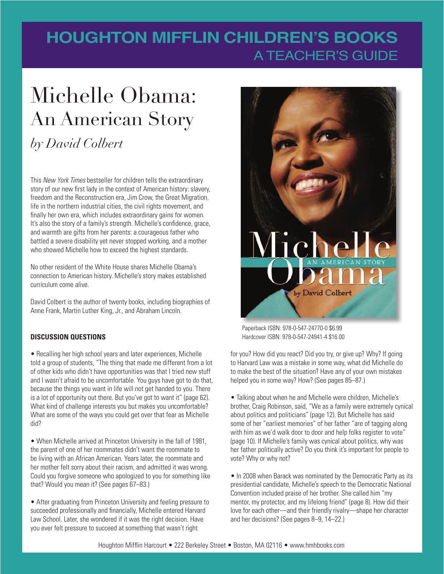## **HOUGHTON MIFFLIN CHILDREN'S BOOKS** A TEACHER'S GUIDE

# Michelle Obama: An American Story

### *by David Colbert*

This *New York Times* bestseller for children tells the extraordinary story of our new first lady in the context of American history: slavery, freedom and the Reconstruction era, Jim Crow, the Great Migration, life in the northern industrial cities, the civil rights movement, and finally her own era, which includes extraordinary gains for women. It's also the story of a family's strength. Michelle's confidence, grace, and warmth are gifts from her parents: a courageous father who battled a severe disability yet never stopped working, and a mother who showed Michelle how to exceed the highest standards.

No other resident of the White House shares Michelle Obama's connection to American history. Michelle's story makes established curriculum come alive.

David Colbert is the author of twenty books, including biographies of Anne Frank, Martin Luther King, Jr., and Abraham Lincoln.

#### **DISCUSSION QUESTIONS**

• Recalling her high school years and later experiences, Michelle told a group of students, "The thing that made me different from a lot of other kids who didn't have opportunities was that I tried new stuff and I wasn't afraid to be uncomfortable. You guys have got to do that, because the things you want in life will not get handed to you. There is a lot of opportunity out there. But you've got to want it" (page 62). What kind of challenge interests you but makes you uncomfortable? What are some of the ways you could get over that fear as Michelle did?

• When Michelle arrived at Princeton University in the fall of 1981, the parent of one of her roommates didn't want the roommate to be living with an African American. Years later, the roommate and her mother felt sorry about their racism, and admitted it was wrong. Could you forgive someone who apologized to you for something like that? Would you mean it? (See pages 67–83.)

• After graduating from Princeton University and feeling pressure to succeeded professionally and financially, Michelle entered Harvard Law School. Later, she wondered if it was the right decision. Have you ever felt pressure to succeed at something that wasn't right



Paperback ISBN: 978-0-547-24770-0 \$6.99 Hardcover ISBN: 978-0-547-24941-4 \$16.00

for you? How did you react? Did you try, or give up? Why? If going to Harvard Law was a mistake in some way, what did Michelle do to make the best of the situation? Have any of your own mistakes helped you in some way? How? (See pages 85–87.)

• Talking about when he and Michelle were children, Michelle's brother, Craig Robinson, said, "We as a family were extremely cynical about politics and politicians" (page 12). But Michelle has said some of her "earliest memories" of her father "are of tagging along with him as we'd walk door to door and help folks register to vote" (page 10). If Michelle's family was cynical about politics, why was her father politically active? Do you think it's important for people to vote? Why or why not?

• In 2008 when Barack was nominated by the Democratic Party as its presidential candidate, Michelle's speech to the Democratic National Convention included praise of her brother. She called him "my mentor, my protector, and my lifelong friend" (page 8). How did their love for each other—and their friendly rivalry—shape her character and her decisions? (See pages 8–9, 14–22.)